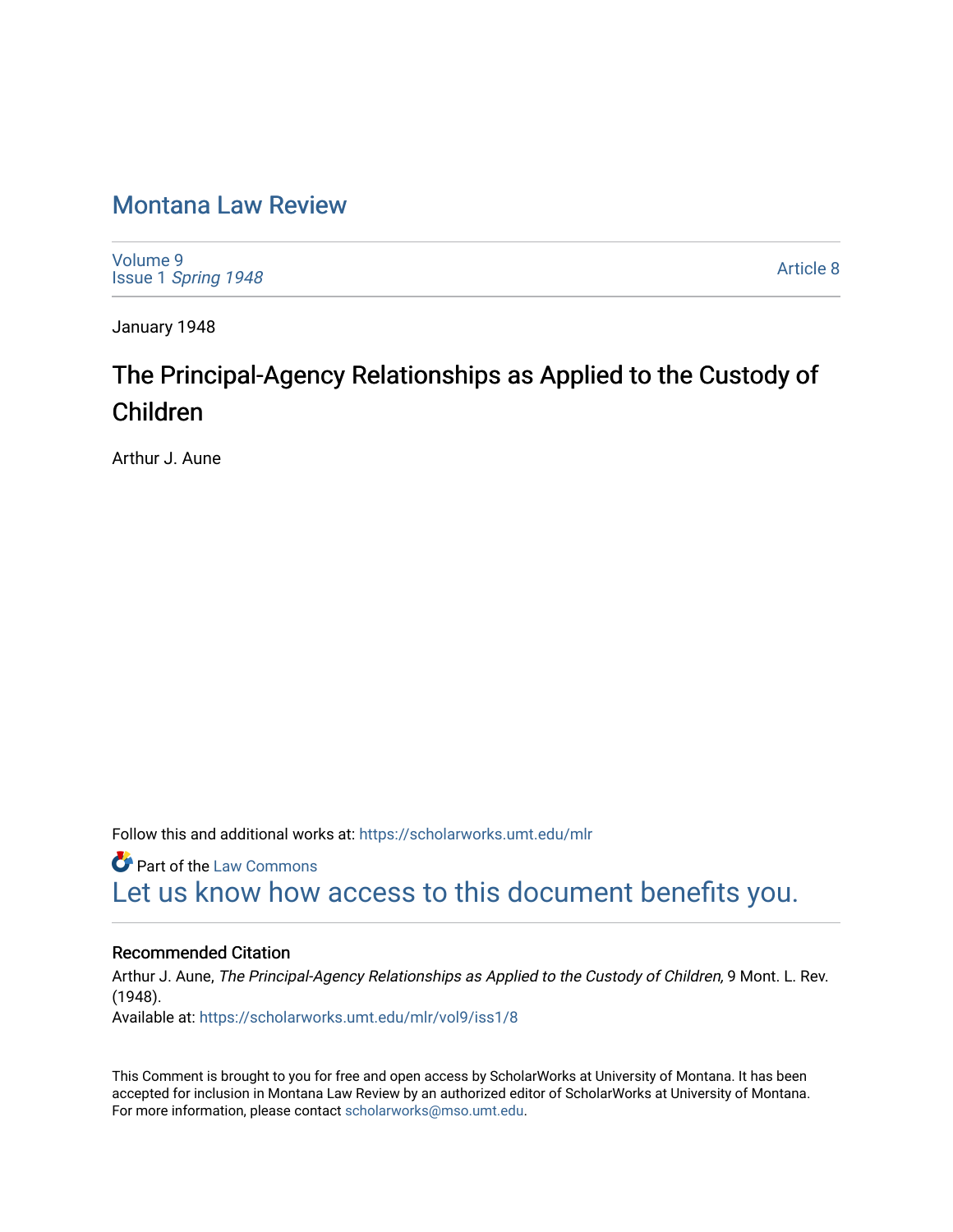### [Montana Law Review](https://scholarworks.umt.edu/mlr)

[Volume 9](https://scholarworks.umt.edu/mlr/vol9) Issue 1 [Spring 1948](https://scholarworks.umt.edu/mlr/vol9/iss1) 

[Article 8](https://scholarworks.umt.edu/mlr/vol9/iss1/8) 

January 1948

## The Principal-Agency Relationships as Applied to the Custody of Children

Arthur J. Aune

Follow this and additional works at: [https://scholarworks.umt.edu/mlr](https://scholarworks.umt.edu/mlr?utm_source=scholarworks.umt.edu%2Fmlr%2Fvol9%2Fiss1%2F8&utm_medium=PDF&utm_campaign=PDFCoverPages) 

**C** Part of the [Law Commons](http://network.bepress.com/hgg/discipline/578?utm_source=scholarworks.umt.edu%2Fmlr%2Fvol9%2Fiss1%2F8&utm_medium=PDF&utm_campaign=PDFCoverPages) [Let us know how access to this document benefits you.](https://goo.gl/forms/s2rGfXOLzz71qgsB2) 

#### Recommended Citation

Arthur J. Aune, The Principal-Agency Relationships as Applied to the Custody of Children, 9 Mont. L. Rev. (1948). Available at: [https://scholarworks.umt.edu/mlr/vol9/iss1/8](https://scholarworks.umt.edu/mlr/vol9/iss1/8?utm_source=scholarworks.umt.edu%2Fmlr%2Fvol9%2Fiss1%2F8&utm_medium=PDF&utm_campaign=PDFCoverPages)

This Comment is brought to you for free and open access by ScholarWorks at University of Montana. It has been accepted for inclusion in Montana Law Review by an authorized editor of ScholarWorks at University of Montana. For more information, please contact [scholarworks@mso.umt.edu.](mailto:scholarworks@mso.umt.edu)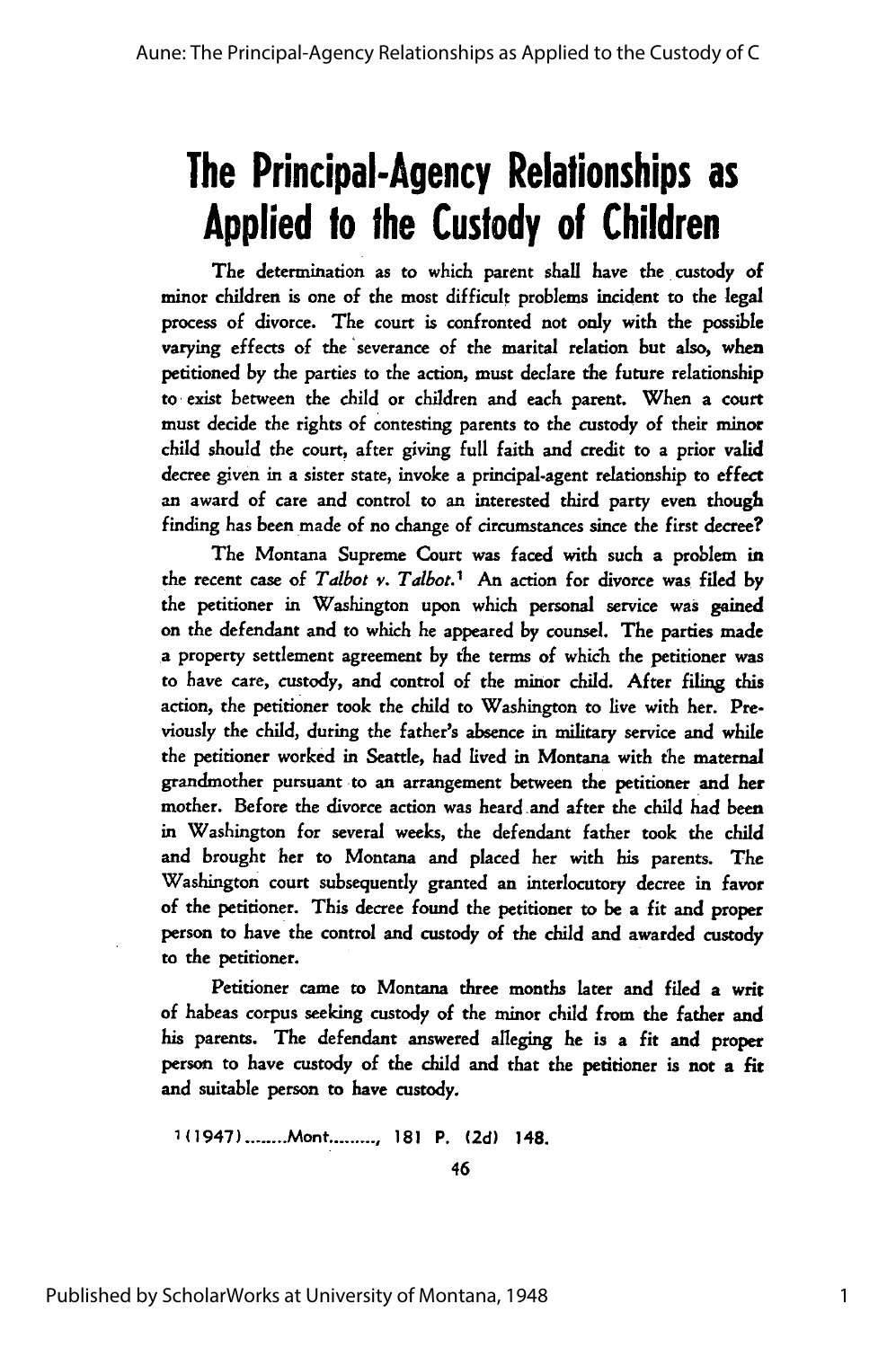# **The Principal-Agency Relationships as Applied to the Custody of Children**

The determination as to which parent shall have the custody of minor children is one of the most difficult problems incident to the legal process of divorce. The court is confronted not only with the possible varying effects of the 'severance of the marital relation but also, **when** petitioned by the parties to the action, must declare the future relationship to exist between the child or children and each parent. When a court must decide the rights of contesting parents to the custody of their minor child should the court, after giving full faith and credit to a prior valid decree given in a sister state, invoke a principal-agent relationship to effect an award of care and control to an interested third party even though finding has been made of no change of circumstances since the first decree?

The Montana Supreme Court was faced with such a problem in the recent case of *Talbot v. Talbot.1* An action for divorce was filed by the petitioner in Washington upon which personal service was gained on the defendant and to which he appeared by counsel. The parties made a property settlement agreement by the terms of which the petitioner was to have care, custody, and control of the minor child. After filing this action, the petitioner took the child to Washington to live with her. Previously the child, during the father's absence in military service and while the petitioner worked in Seattle, had lived in Montana with the maternal grandmother pursuant to an arrangement between the petitioner and her mother. Before the divorce action was heard and after the child had been in Washington for several weeks, the defendant father took the child and brought her to Montana and placed her with his parents. The Washington court subsequently granted an interlocutory decree in favor of the petitioner. This decree found the petitioner to be a fit and proper person to have the control and custody of the child and awarded custody to the petitioner.

Petitioner came to Montana three months later and filed a writ of habeas corpus seeking custody of the minor child from the father and his parents. The defendant answered alleging he is a fit and proper person to have custody of the child and that the petitioner is not a **fit** and suitable person to have custody.

1(1947) **........** Mont **......... , 181** P. **(2d)** 148.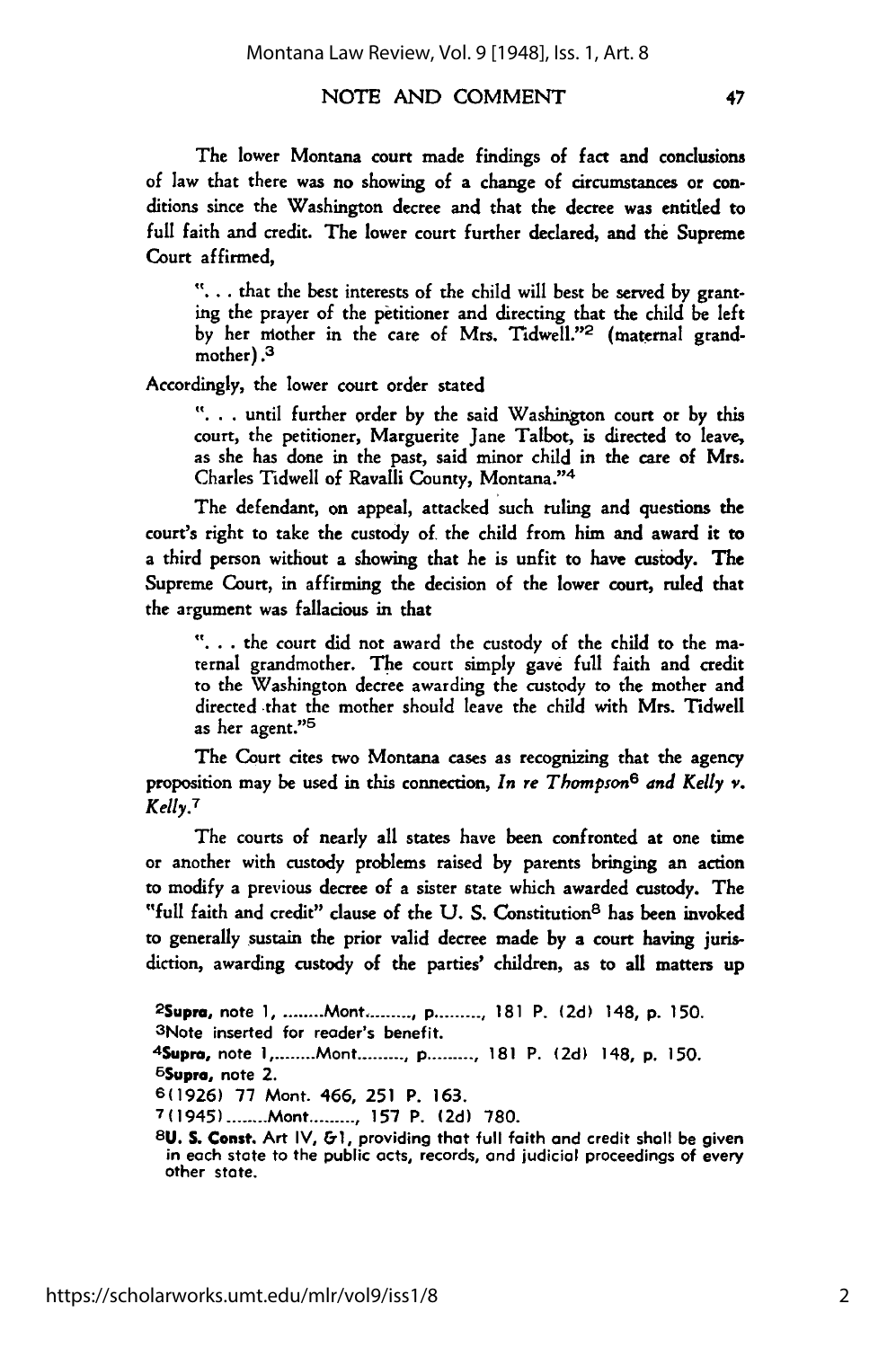#### NOTE AND COMMENT

The lower Montana court made findings of fact and conclusions of law that there was no showing of a change of circumstances or conditions since the Washington decree and that the decree was entitled to **full** faith and credit. The lower court further declared, and the Supreme Court affirmed,

**".. .** that the best interests of the child will best be served **by** granting the prayer of the petitioner and directing that the child be left by her mother in the care of Mrs. Tidwell."<sup>2</sup> (maternal grandmother) .3

Accordingly, the lower court order stated

**"..** . until further order by the said Washington court or **by** this court, the petitioner, Marguerite Jane Talbot, is directed to leave, as she has done in the past, said minor child in the care of Mrs. Charles Tidwell of Ravalli County, Montana. ''4

The defendant, on appeal, attacked such ruling and questions the court's right to take the custody of the child from him and award it to a third person without a showing that he is unfit to have custody. The Supreme Court, in affirming the decision of the lower court, ruled that the argument was fallacious in that

"... .the court did not award the custody of the child to the maternal grandmother. The court simply gave full faith and credit to the Washington decree awarding the custody to the mother and directed that the mother should leave the child with Mrs. Tidwell as her agent."<sup>5</sup>

The Court cites two Montana cases as recognizing that the agency proposition may be used in this connection, *In re Thompson6 and Kelly* **v.** *Kelly.<sup>7</sup>*

The courts of nearly all states have been confronted at one time or another with custody problems raised by parents bringing an action to modify a previous decree of a sister state which awarded custody. The "full faith and credit" clause of the U.S. Constitution<sup>8</sup> has been invoked to generally sustain the prior valid decree made by a court having jurisdiction, awarding custody of the parties' children, as to all matters up

2Supra, note 1 **.........** Mont **.......... p ..........** 181 P. **(2d)** 148, **p.** 150. <sup>3</sup> Note inserted for reader's benefit. <sup>4</sup> Supro, note **I .........** Mont **.......... p ..........** 181 P. **(2d)** 148, **p.** 150. <sup>5</sup>Supra, note 2. **6(1926)** 77 Mont. 466, **251** P. 163. **7(1945) ........** Mont **......... , 157** P. **(2d)** 780. **8U. S. Const.** Art IV, **&1,** providing that full faith and credit shall be given

in each state to the public acts, records, **and** judicial proceedings of every other state.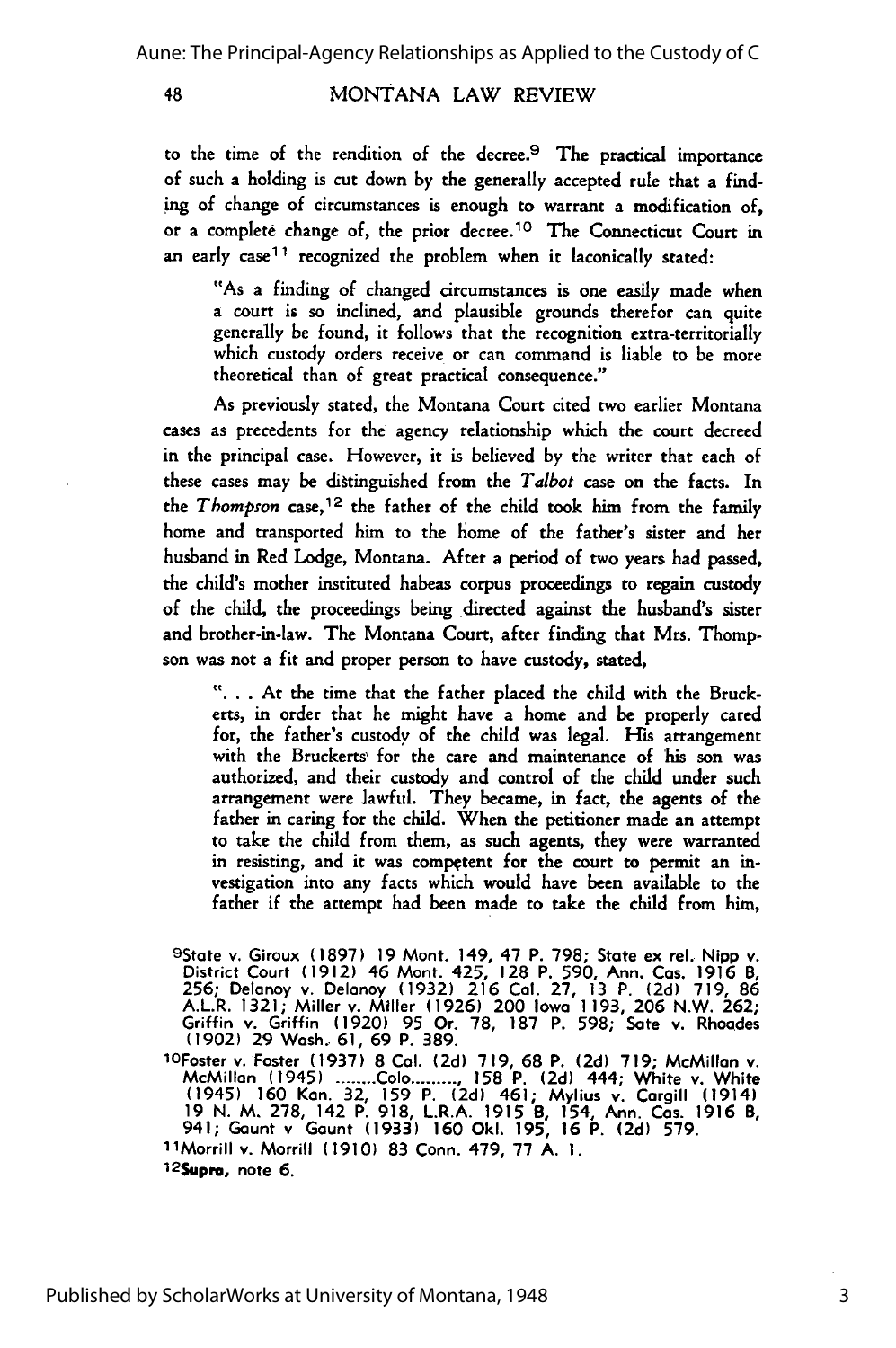MONTANA LAW REVIEW

to the time of the rendition of the decree.<sup>9</sup> The practical importance of such a holding is cut down **by** the generally accepted rule that a finding of change of circumstances is enough to warrant a modification of, or a complete change of, the prior decree.<sup>10</sup>**The** Connecticut Court in an early case<sup>11</sup> recognized the problem when it laconically stated:

"As a finding of changed circumstances is one easily made when a court is so inclined, and plausible grounds therefor can quite generally be found, it follows that the recognition extra-territorially which custody orders receive or can command is liable to be more theoretical than of great practical consequence."

As previously stated, the Montana Court cited two earlier Montana cases as precedents for the agency relationship which the court decreed in the principal case. However, it is believed **by** the writer that each of these cases may be dittinguished from the *Talbot* case on the facts. In the *Thompson* case, 12 the father of the child took him from the family home and transported him to the home of the father's sister and her husband in Red Lodge, Montana. After a period of two years had passed, the child's mother instituted habeas corpus proceedings to regain custody **of** the child, the proceedings being directed against the husband's sister and brother-in-law. The Montana Court, after finding that Mrs. Thompson was not a fit and proper person to have custody, stated,

**"...** At the time that the father placed the child with the Bruckerts, in order that he might have a home and be properly cared for, the father's custody of the child was legal. His arrangement with the Bruckerts' for the care and maintenance of his son was authorized, and their custody and control of the child under such arrangement were lawful. They became, in fact, the agents of the father in caring for the child. When the petitioner made an attempt to take the child from them, as such agents, they were warranted in resisting, and it was competent for the court to permit an investigation into any facts which would have been available to the father if the attempt had been made to take the child **from** him,

9State v. Giroux (1897) 19 Mont. 149, 47 P. 798; State ex rel. Nipp v.<br>District Court (1912) 46 Mont. 425, 128 P. 590, Ann. Cas. 1916 B.<br>256; Delanoy v. Delanoy (1932) 216 Cal. 27, 13 P. (2d) 719, 86 A.L.R. 1321; Miller v. Miller (1926) 200 Iowa 1193, 206 N.W. 262;<br>Griffin v. Griffin (1920) 95 Or. 78, 187 P. 598; Sate v. Rhoades<br>(1902) 29 Wash. 61, 69 P. 389.

1OFoster v. Foster **(1937) 8** Cal. **(2d)** 719, **68** P. **(2d) 719;** McMillan v. McMillan (1945) ........Colo.........., 158 P. (2d) 444; White v. White<br>(1945) 160 Kan. 32, 159 P. (2d) 461; Mylius v. Cargill (1914)<br>19 N. M. 278, 142 P. 918, L.R.A. 1915 B, 154, Ann. Cas. 1916 B, 941; Gaunt v Gaunt (1933) **160** Okl. 195, **16** P. **(2d)** 579.

1 1Morrill v. Morrill **(1910) 83** Conn. 479, 77 A. **1.**

12SUpro, note **6.**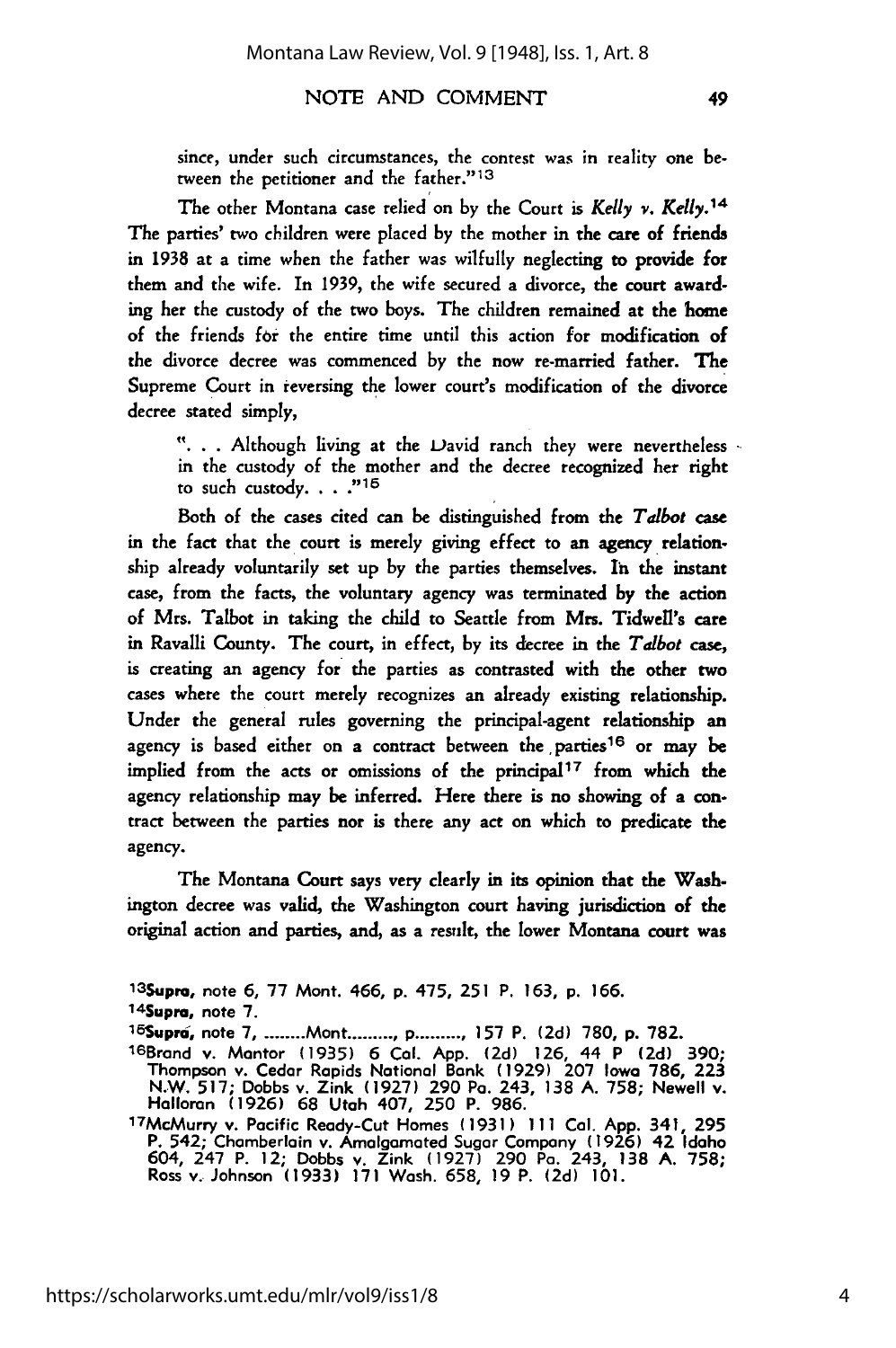#### NOTE AND COMMENT

since, under such circumstances, the contest was in reality one between the petitioner and the father."<sup>13</sup>

The other Montana case relied on by the Court is *Kelly v. Kelly. <sup>14</sup>* The parties' two children were placed by the mother in the care of friends in 1938 at a time when the father was wilfully neglecting to provide for them and the wife. In 1939, the wife secured a divorce, the court awarding her the custody of the two boys. The children remained at the home of the friends **for** the entire time until this action for modification of the divorce decree was commenced by the now re-married father. The Supreme Court in reversing the lower court's modification of the divorce decree stated simply,

**"..** . Although living at the Vavid ranch they were nevertheless in the custody of the mother and the decree recognized her right to such custody... **"15**

Both of the cases cited can be distinguished from the *Talbot* case in the fact that the court is merely giving effect to an agency relationship already voluntarily set up by the parties themselves. In the instant case, from the facts, the voluntary agency was terminated by the action of Mrs. Talbot in taking the child to Seattle from Mrs. Tidwell's care in Ravalli County. The court, in effect, by its decree in the *Talbot* case, is creating an agency for the parties as contrasted with the other two cases where the court merely recognizes an already existing relationship. Under the general rules governing the principal-agent relationship an agency is based either on a contract between the parties<sup>16</sup> or may be implied from the acts or omissions of the principal<sup>17</sup> from which the agency relationship may be inferred. Here there is no showing of a contract between the parties nor is there any act on which to predicate the agency.

The Montana Court says very clearly in its opinion that the Washington decree was valid, the Washington court having jurisdiction of the original action and parties, and, as a result, the lower Montana court was

**13 Supra,** note **6, 77** Mont. 466, p. 475, **251** P. **163, p. 166.**

14 Supra, note **7.**

l 5Supra, note **7- .........** Mont **.......... p .......... 157** P. **(2d) 780, p. 782.**

<sup>1</sup><sup>6</sup> Brand v. Mantor **(1935) 6 Cal. App. (2d) 126,** 44 P **(2d) 390;** Thompson v. Cedar Rapids National Bank (1929) 207 Iowa 786, 223<br>N.W. 517; Dobbs v. Zink (1927) 290 Pa. 243, 138 A. 758; Newell v.<br>Halloran (1926) 68 Utah 407, 250 P. 986.

<sup>17</sup>McMurry v. Pacific Ready-Cut Homes **(1931) 111 Col. App.** 341, **295** P. 542; Chamberlain v. Amalgamated Sugar Company **(1926)** 42 Idaho 604, 247 P. 12; Dobbs v. Zink **(1927) 290** Pa. 243, **138 A. 758;** Ross v. Johnson **(1933) 171** Wash. **658, 19** P. **(2d) 101.**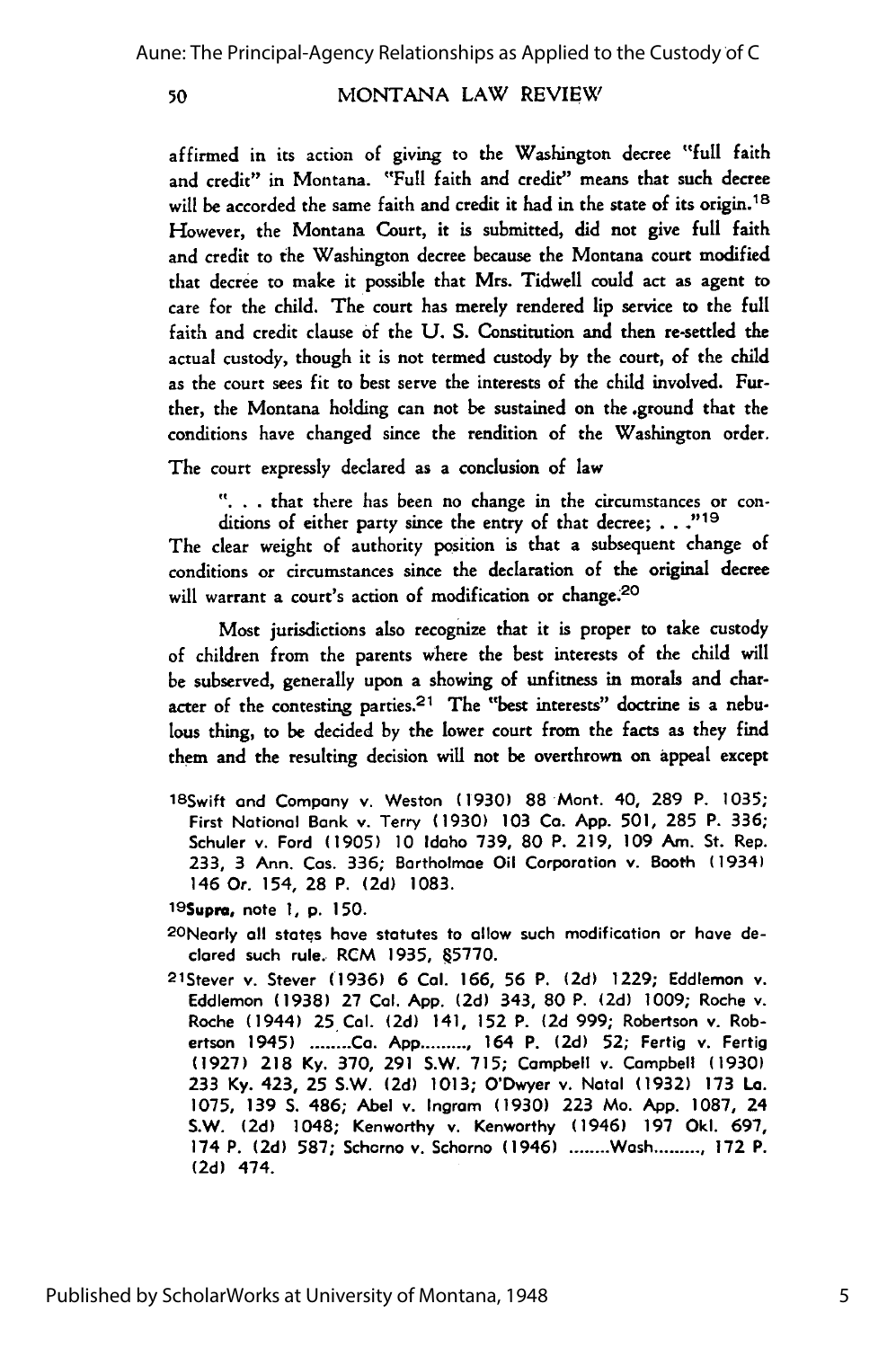#### MONTANA LAW REVIEW

affirmed in its action of giving to the Washington decree "full faith and credit" in Montana. "Full faith and credit" means that such decree will be accorded the same faith and credit it had in the state of its origin.<sup>18</sup> However, the Montana Court, it is submitted, did not give full faith and credit to the Washington decree because the Montana court modified that decree to make it possible that Mrs. Tidwell could act as agent to care for the child. The court has merely rendered lip service to the full faith and credit clause **of** the U. S. Constitution and then re-settled the actual custody, though it is not termed custody by the court, of the child as the court sees fit to best serve the interests of the child involved. Further, the Montana holding can not be sustained on the .ground that the conditions have changed since the rendition of the Washington order.

The court expressly declared as a conclusion of law

**"..** . that there has been no change in the circumstances or conditions of either party since the entry of that decree; **. . ."19**

The clear weight of authority position is that a subsequent change of conditions or circumstances since the declaration of the original decree will warrant a court's action of modification or change.<sup>20</sup>

Most jurisdictions also recognize that it is proper to take custody of children from the parents where the best interests of the child will be subserved, generally upon a showing of unfitness in morals and character of the contesting parties.<sup>21</sup> The "best interests" doctrine is a nebu**lous** thing, to be decided by the lower court **from** the facts as they find them and the resulting decision will not be overthrown on appeal except

18Swift **and** Company v. Weston **(1930)** 88 Mont. 40, **289** P. **1035;** First National Bank v. Terry **(1930) 103 Co. App. 501, 285** P. **336;** Schuler **v.** Ford **(1905)** 10 Idaho **739, 80** P. **219, 109** Am. St. Rep. **233,** 3 Ann. Cos. **336;** Bartholmae Oil Corporation v. Booth (1934) 146 Or. 154, **28** P. **(2d) 1083.**

19Supra, note **1, p. 150.**

- 2ONeorly **all** states hove statutes to allow such modification or have declared such rule. RCM **1935, 45770.**
- 21Stever v. Stever **(1936) 6** Col. **166, 56** P. **(2d) 1229;** Eddlemon v. Eddlemon **(1938) 27** Cal. **App. (2d)** 343, **80** P. **(2d) 1009;** Roche v. Roche (1944) 25 Cal. (2d) 141, **152** P. **(2d** 999; Robertson v. Robertson 1945) **........ Ca. App ..........** 164 P. **(2d) 52;** Fertig v. Fertig **(1927) 218 Ky. 370, 291** S.W. **715;** Campbell **v.** Campbell **(1930) 233** Ky. 423, **25** S.W. **(2d) 1013;** O'Dwyer v. Natal **(1932) 173** La. **1075, 139 S.** 486; Abel v. Ingram (1930) **223** Mo. **App. 1087,** 24 S.W. **(2d)** 1048; Kenworthy v. Kenworthy (1946) **197** Oki. **697,** 174 P. **(2d) 587;** Scharno v. Schorno (1946) **........** Wash **.......... 172** P. (2d) 474.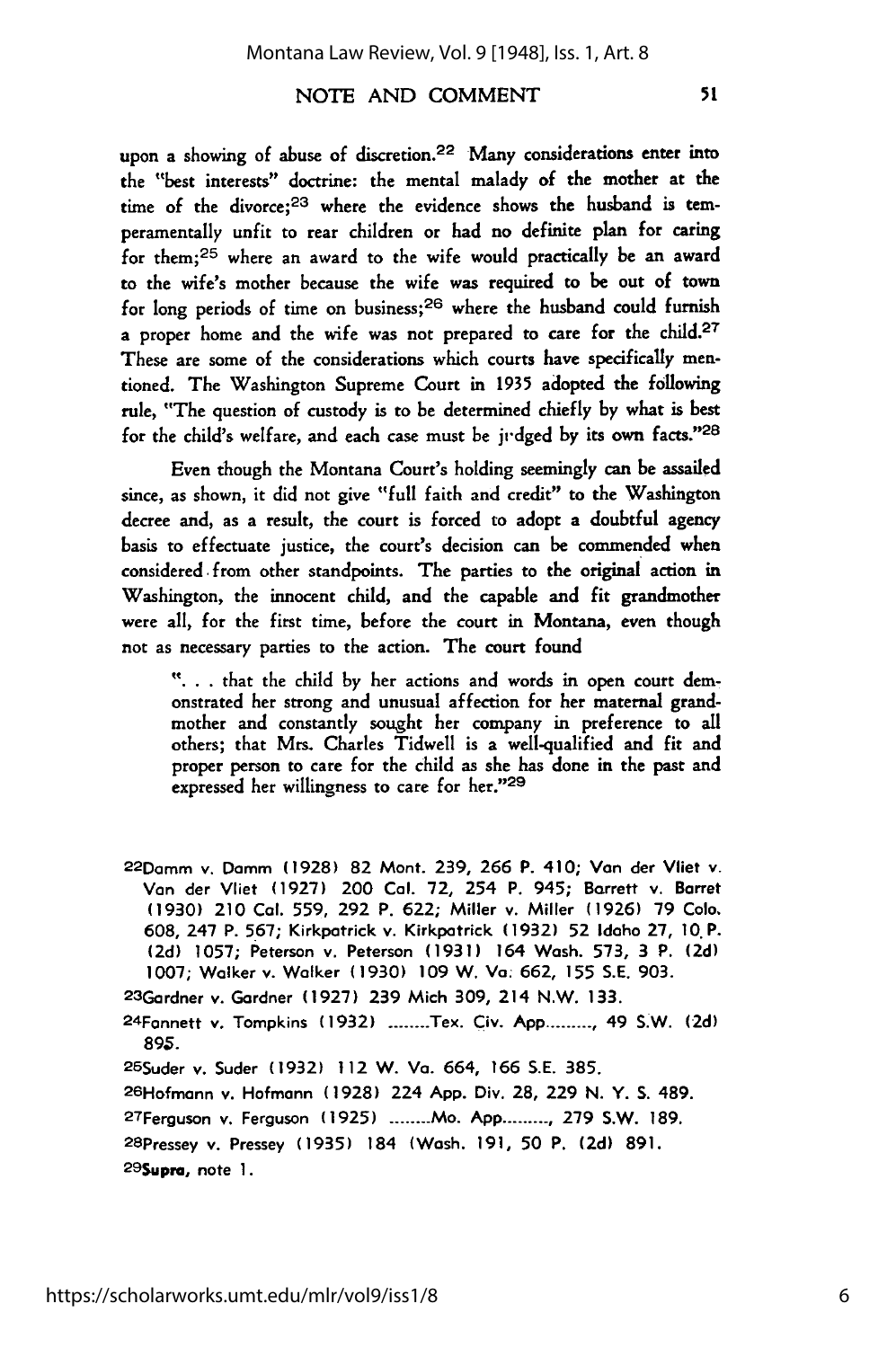#### NOTE **AND COMMENT**

upon a showing of abuse of discretion.<sup>22</sup> Many considerations enter into the "best interests" doctrine: the mental malady of the mother at the time of the divorce;<sup>23</sup> where the evidence shows the husband is temperamentally unfit to rear children or had no definite plan for caring for them;<sup>25</sup> where an award to the wife would practically be an award to the wife's mother because the wife was required to be out of town for long periods of time on business; $26$  where the husband could furnish a proper home and the wife was not prepared to care for the child.<sup>27</sup> These are some of the considerations which courts have specifically mentioned. The Washington Supreme Court in 1935 adopted the following rule, "The question of custody is to be determined chiefly by what is best for the child's welfare, and each case must be **jvdged** by its own facts." <sup>28</sup>

Even though the Montana Court's holding seemingly can be assailed since, as shown, it did not give "full faith and credit" to the Washington decree and, as a result, the court is forced to adopt a doubtful agency basis to effectuate justice, the court's decision can be commended when considered from other standpoints. The parties to the original action in Washington, the innocent child, and the capable and fit grandmother were all, for the first time, before the court in Montana, even though not as necessary parties to the action. The court found

**"...** that the child by her actions and words in open court demonstrated her strong and unusual affection for her maternal grandmother and constantly sought her company in preference to all others; that Mrs. Charles Tidwell is a well-qualified and fit and proper person to care for the child as she has done in the past and expressed her willingness to care for her."29

<sup>22</sup> Damm v. Domm **(1928) 82** Mont. **239, 266** P. 410; **Van** der **Vliet** v. **Van** der Vliet **(1927)** 200 Cal. **72,** 254 P. 945; Barrett v. Barret **(1930)** 210 **Col. 559, 292** P. **622;** Miller v. Miller **(1926) 79** Colo. **608,** 247 P. **567;** Kirkpatrick v. Kirkpatrick **(1932) 52** Idaho **27, 10.** P. **(2d) 1057;** Peterson v. Peterson **(1931)** 164 Wash. **573, 3** P. **(2d) 1007;** Walker v. Walker **(1930) 109** W. **Va. 662, 155 S.E. 903.**

<sup>23</sup> Gardner v. Gardner **(1927) 239** Mich **309,** 214 N.W. **133.**

2 4Fannett **v.** Tompkins **(1932) ........** Tex. **Civ. App ......... ,** 49 S.W. **(2d) 895.**

<sup>2</sup> 9Supra, note **1.**

<sup>25</sup> Suder v. Suder **(1932)** 112 W. Va. 664, **166 S.E. 385.**

<sup>26</sup> Hofmann v. Hofmann **(1928)** 224 **App.** Div. **28, 229 N.** Y. **S.** 489.

<sup>27</sup> Ferguson v. Ferguson **(1925) .......- Mo. App .......... 279** S.W. **189.**

<sup>28</sup> Pressey v. Pressey **(1935)** 184 (Wash. **191, 50** P. **(2d) 891.**